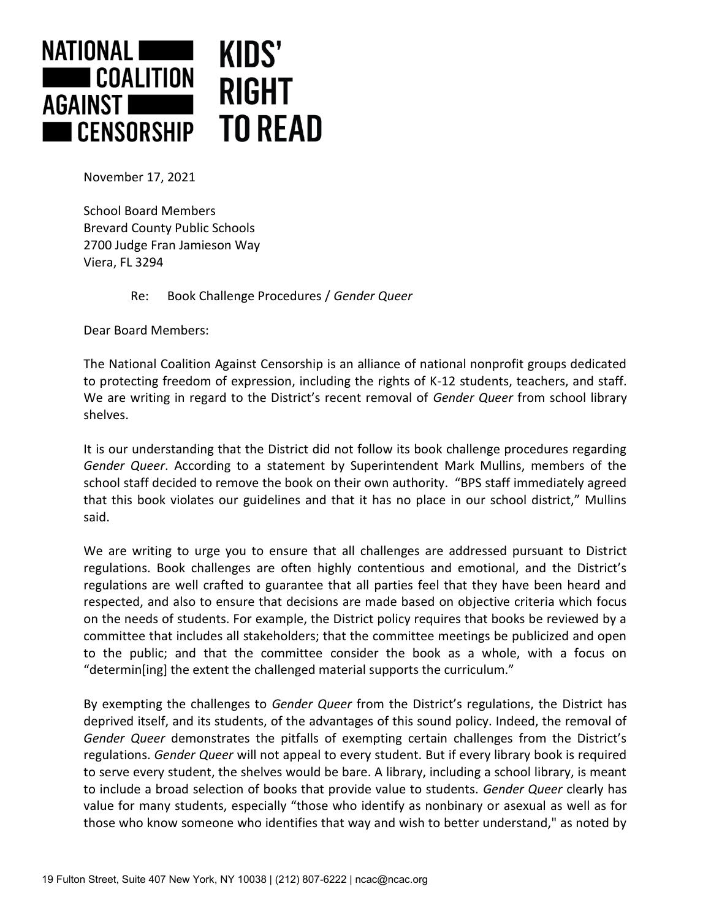

November 17, 2021

School Board Members Brevard County Public Schools 2700 Judge Fran Jamieson Way Viera, FL 3294

Re: Book Challenge Procedures / *Gender Queer*

Dear Board Members:

The National Coalition Against Censorship is an alliance of national nonprofit groups dedicated to protecting freedom of expression, including the rights of K-12 students, teachers, and staff. We are writing in regard to the District's recent removal of *Gender Queer* from school library shelves.

It is our understanding that the District did not follow its book challenge procedures regarding *Gender Queer*. According to a statement by Superintendent Mark Mullins, members of the school staff decided to remove the book on their own authority. "BPS staff immediately agreed that this book violates our guidelines and that it has no place in our school district," Mullins said.

We are writing to urge you to ensure that all challenges are addressed pursuant to District regulations. Book challenges are often highly contentious and emotional, and the District's regulations are well crafted to guarantee that all parties feel that they have been heard and respected, and also to ensure that decisions are made based on objective criteria which focus on the needs of students. For example, the District policy requires that books be reviewed by a committee that includes all stakeholders; that the committee meetings be publicized and open to the public; and that the committee consider the book as a whole, with a focus on "determin[ing] the extent the challenged material supports the curriculum."

By exempting the challenges to *Gender Queer* from the District's regulations, the District has deprived itself, and its students, of the advantages of this sound policy. Indeed, the removal of *Gender Queer* demonstrates the pitfalls of exempting certain challenges from the District's regulations. *Gender Queer* will not appeal to every student. But if every library book is required to serve every student, the shelves would be bare. A library, including a school library, is meant to include a broad selection of books that provide value to students. *Gender Queer* clearly has value for many students, especially "those who identify as nonbinary or asexual as well as for those who know someone who identifies that way and wish to better understand," as noted by